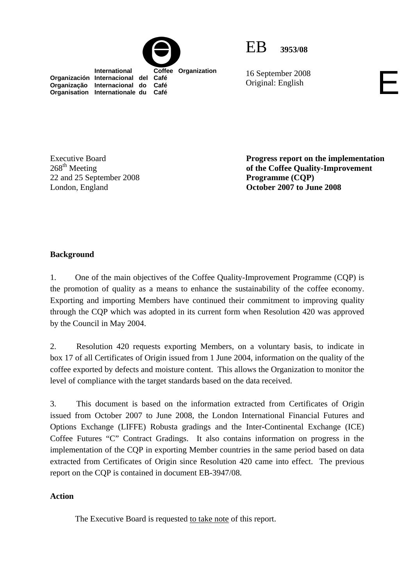



16 September 2008<br>Original: English

**Organisation Internationale du Café**

Executive Board  $268^{\text{th}}$  Meeting 22 and 25 September 2008 London, England

**Progress report on the implementation of the Coffee Quality-Improvement Programme (CQP) October 2007 to June 2008** 

## **Background**

1. One of the main objectives of the Coffee Quality-Improvement Programme (CQP) is the promotion of quality as a means to enhance the sustainability of the coffee economy. Exporting and importing Members have continued their commitment to improving quality through the CQP which was adopted in its current form when Resolution 420 was approved by the Council in May 2004.

2. Resolution 420 requests exporting Members, on a voluntary basis, to indicate in box 17 of all Certificates of Origin issued from 1 June 2004, information on the quality of the coffee exported by defects and moisture content. This allows the Organization to monitor the level of compliance with the target standards based on the data received.

3. This document is based on the information extracted from Certificates of Origin issued from October 2007 to June 2008, the London International Financial Futures and Options Exchange (LIFFE) Robusta gradings and the Inter-Continental Exchange (ICE) Coffee Futures "C" Contract Gradings. It also contains information on progress in the implementation of the CQP in exporting Member countries in the same period based on data extracted from Certificates of Origin since Resolution 420 came into effect. The previous report on the CQP is contained in document EB-3947/08.

## **Action**

The Executive Board is requested to take note of this report.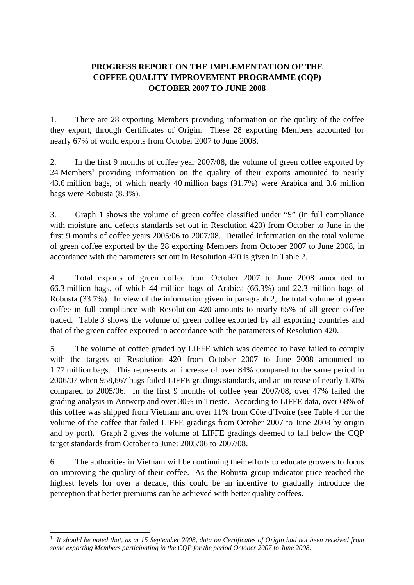# **PROGRESS REPORT ON THE IMPLEMENTATION OF THE COFFEE QUALITY-IMPROVEMENT PROGRAMME (CQP) OCTOBER 2007 TO JUNE 2008**

1. There are 28 exporting Members providing information on the quality of the coffee they export, through Certificates of Origin. These 28 exporting Members accounted for nearly 67% of world exports from October 2007 to June 2008.

2. In the first 9 months of coffee year 2007/08, the volume of green coffee exported by 24 Members**<sup>1</sup>** providing information on the quality of their exports amounted to nearly 43.6 million bags, of which nearly 40 million bags (91.7%) were Arabica and 3.6 million bags were Robusta (8.3%).

3. Graph 1 shows the volume of green coffee classified under "S" (in full compliance with moisture and defects standards set out in Resolution 420) from October to June in the first 9 months of coffee years 2005/06 to 2007/08. Detailed information on the total volume of green coffee exported by the 28 exporting Members from October 2007 to June 2008, in accordance with the parameters set out in Resolution 420 is given in Table 2.

4. Total exports of green coffee from October 2007 to June 2008 amounted to 66.3 million bags, of which 44 million bags of Arabica (66.3%) and 22.3 million bags of Robusta (33.7%). In view of the information given in paragraph 2, the total volume of green coffee in full compliance with Resolution 420 amounts to nearly 65% of all green coffee traded. Table 3 shows the volume of green coffee exported by all exporting countries and that of the green coffee exported in accordance with the parameters of Resolution 420.

5. The volume of coffee graded by LIFFE which was deemed to have failed to comply with the targets of Resolution 420 from October 2007 to June 2008 amounted to 1.77 million bags. This represents an increase of over 84% compared to the same period in 2006/07 when 958,667 bags failed LIFFE gradings standards, and an increase of nearly 130% compared to 2005/06. In the first 9 months of coffee year 2007/08, over 47% failed the grading analysis in Antwerp and over 30% in Trieste. According to LIFFE data, over 68% of this coffee was shipped from Vietnam and over 11% from Côte d'Ivoire (see Table 4 for the volume of the coffee that failed LIFFE gradings from October 2007 to June 2008 by origin and by port). Graph 2 gives the volume of LIFFE gradings deemed to fall below the CQP target standards from October to June: 2005/06 to 2007/08.

6. The authorities in Vietnam will be continuing their efforts to educate growers to focus on improving the quality of their coffee. As the Robusta group indicator price reached the highest levels for over a decade, this could be an incentive to gradually introduce the perception that better premiums can be achieved with better quality coffees.

 $\overline{a}$ 

<sup>&</sup>lt;sup>1</sup> It should be noted that, as at 15 September 2008, data on Certificates of Origin had not been received from *some exporting Members participating in the CQP for the period October 2007 to June 2008.*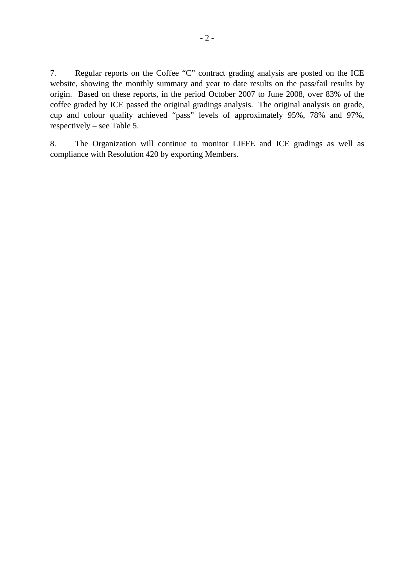7. Regular reports on the Coffee "C" contract grading analysis are posted on the ICE website, showing the monthly summary and year to date results on the pass/fail results by origin. Based on these reports, in the period October 2007 to June 2008, over 83% of the coffee graded by ICE passed the original gradings analysis. The original analysis on grade, cup and colour quality achieved "pass" levels of approximately 95%, 78% and 97%, respectively – see Table 5.

8. The Organization will continue to monitor LIFFE and ICE gradings as well as compliance with Resolution 420 by exporting Members.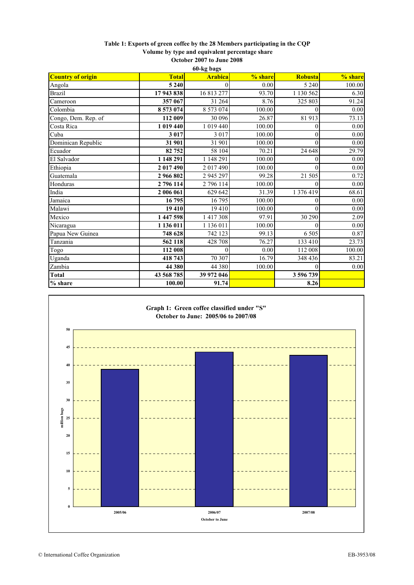## **Table 1: Exports of green coffee by the 28 Members participating in the CQP Volume by type and equivalent percentage share**

| October 2007 to June 2008 |  |
|---------------------------|--|
| 60-ka haas                |  |

| oo-kg dags   |                |         |           |          |  |  |  |  |  |  |  |
|--------------|----------------|---------|-----------|----------|--|--|--|--|--|--|--|
| <b>Total</b> | <b>Arabica</b> | % share | Robusta   | % share  |  |  |  |  |  |  |  |
| 5 2 4 0      |                | 0.00    | 5 2 4 0   | 100.00   |  |  |  |  |  |  |  |
| 17943838     | 16 813 277     | 93.70   | 1 130 562 | 6.30     |  |  |  |  |  |  |  |
| 357 067      | 31 264         | 8.76    | 325 803   | 91.24    |  |  |  |  |  |  |  |
| 8 573 074    | 8 573 074      | 100.00  |           | 0.00     |  |  |  |  |  |  |  |
| 112 009      | 30 096         | 26.87   | 81 913    | 73.13    |  |  |  |  |  |  |  |
| 1 019 440    | 1 019 440      | 100.00  |           | 0.00     |  |  |  |  |  |  |  |
| 3 0 1 7      | 3 0 1 7        | 100.00  | $\theta$  | 0.00     |  |  |  |  |  |  |  |
| 31 901       | 31 901         | 100.00  |           | 0.00     |  |  |  |  |  |  |  |
| 82 752       | 58 104         | 70.21   | 24 648    | 29.79    |  |  |  |  |  |  |  |
| 1 148 291    | 1 148 291      | 100.00  | 0         | $0.00\,$ |  |  |  |  |  |  |  |
| 2 017 490    | 2017490        | 100.00  |           | 0.00     |  |  |  |  |  |  |  |
| 2 966 802    | 2 945 297      | 99.28   | 21 505    | 0.72     |  |  |  |  |  |  |  |
| 2 796 114    | 2 796 114      | 100.00  |           | 0.00     |  |  |  |  |  |  |  |
| 2 006 061    | 629 642        | 31.39   | 1 376 419 | 68.61    |  |  |  |  |  |  |  |
| 16795        | 16795          | 100.00  |           | $0.00\,$ |  |  |  |  |  |  |  |
| 19 410       | 19410          | 100.00  |           | $0.00\,$ |  |  |  |  |  |  |  |
| 1 447 598    | 1417308        | 97.91   | 30 290    | 2.09     |  |  |  |  |  |  |  |
| 1 136 011    | 1 136 011      | 100.00  |           | 0.00     |  |  |  |  |  |  |  |
| 748 628      | 742 123        | 99.13   | 6 5 0 5   | 0.87     |  |  |  |  |  |  |  |
| 562 118      | 428 708        | 76.27   | 133 410   | 23.73    |  |  |  |  |  |  |  |
| 112 008      | $\Omega$       | 0.00    | 112 008   | 100.00   |  |  |  |  |  |  |  |
| 418 743      | 70 307         | 16.79   | 348 436   | 83.21    |  |  |  |  |  |  |  |
| 44 380       | 44 380         | 100.00  | 0         | 0.00     |  |  |  |  |  |  |  |
| 43 568 785   | 39 972 046     |         | 3 596 739 |          |  |  |  |  |  |  |  |
| 100.00       | 91.74          |         | 8.26      |          |  |  |  |  |  |  |  |
|              |                |         |           |          |  |  |  |  |  |  |  |

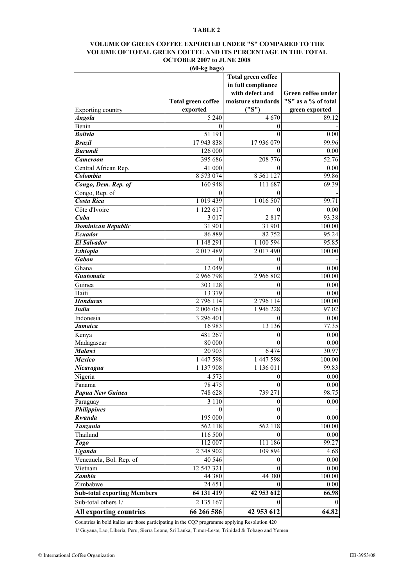### **VOLUME OF GREEN COFFEE EXPORTED UNDER "S" COMPARED TO THE VOLUME OF TOTAL GREEN COFFEE AND ITS PERCENTAGE IN THE TOTAL OCTOBER 2007 to JUNE 2008**

**(60-kg bags)**

|                                    | <b>Total green coffee</b> | <b>Total green coffee</b><br>in full compliance<br>with defect and<br>moisture standards | Green coffee under<br>"S" as a % of total |  |  |
|------------------------------------|---------------------------|------------------------------------------------------------------------------------------|-------------------------------------------|--|--|
| Exporting country                  | exported                  | ("S")                                                                                    | green exported                            |  |  |
| <b>Angola</b>                      | 5 2 4 0                   | 4670                                                                                     | 89.12                                     |  |  |
| Benin                              | 0                         | 0                                                                                        |                                           |  |  |
| <b>Bolivia</b>                     | 51 191                    | $\boldsymbol{0}$                                                                         | 0.00                                      |  |  |
| <b>Brazil</b>                      | 17943838                  | 17 936 079                                                                               | 99.96                                     |  |  |
| <b>Burundi</b>                     | 126 000                   | 0                                                                                        | 0.00                                      |  |  |
| <b>Cameroon</b>                    | 395 686                   | 208 776                                                                                  | 52.76                                     |  |  |
| Central African Rep.               | 41 000                    | 0                                                                                        | 0.00                                      |  |  |
| Colombia                           | 8 5 7 3 0 7 4             | 8 5 6 1 1 2 7                                                                            | 99.86                                     |  |  |
| Congo, Dem. Rep. of                | 160 948                   | 111 687                                                                                  | 69.39                                     |  |  |
| Congo, Rep. of                     | $\theta$                  | 0                                                                                        |                                           |  |  |
| <b>Costa Rica</b>                  | 1 0 19 4 39               | 1 016 507                                                                                | 99.71                                     |  |  |
| Côte d'Ivoire                      | 1 122 617                 | $\theta$                                                                                 | 0.00                                      |  |  |
| Cuba                               | 3 0 1 7                   | 2817                                                                                     | 93.38                                     |  |  |
| <b>Dominican Republic</b>          | 31 901                    | 31 901                                                                                   | 100.00                                    |  |  |
| <b>Ecuador</b>                     | 86889                     | 82752                                                                                    | 95.24                                     |  |  |
| <b>El Salvador</b>                 | 1 148 291                 | 1 100 594                                                                                | 95.85                                     |  |  |
| Ethiopia                           | 2017489                   | 2 017 490                                                                                | 100.00                                    |  |  |
| <b>Gabon</b>                       | $\theta$                  | 0                                                                                        |                                           |  |  |
| Ghana                              | 12 049                    | 0                                                                                        | 0.00                                      |  |  |
| <b>Guatemala</b>                   | 2966798                   | 2 966 802                                                                                | 100.00                                    |  |  |
| Guinea                             | 303 128                   | 0                                                                                        | 0.00                                      |  |  |
| Haiti                              | 13 379                    | 0                                                                                        | 0.00                                      |  |  |
| <b>Honduras</b>                    | 2 796 114                 | 2 796 114                                                                                | <b>100.00</b>                             |  |  |
| <b>India</b>                       | 2 006 061                 | 1 946 228                                                                                | 97.02                                     |  |  |
| Indonesia                          | 3 296 401                 | 0                                                                                        | 0.00                                      |  |  |
| Jamaica                            | 16 983                    | 13 13 6                                                                                  | 77.35                                     |  |  |
| Kenya                              | 481 267                   | 0                                                                                        | 0.00                                      |  |  |
| Madagascar                         | 80 000                    | $\boldsymbol{0}$                                                                         | 0.00                                      |  |  |
| <b>Malawi</b>                      | 20 903                    | 6474                                                                                     | 30.97                                     |  |  |
| <b>Mexico</b>                      | 1 447 598                 | 1 447 598                                                                                | 100.00                                    |  |  |
| Nicaragua                          | 1 137 908                 | 1 136 011                                                                                | 99.83                                     |  |  |
| Nigeria                            | 4 5 7 3                   | 0                                                                                        | 0.00                                      |  |  |
| Panama                             | 78 475                    | $\boldsymbol{0}$                                                                         | 0.00                                      |  |  |
| Papua New Guinea                   | 748 628                   | 739 271                                                                                  | 98.75                                     |  |  |
| Paraguay                           | 3 1 1 0                   | 0                                                                                        | 0.00                                      |  |  |
| <b>Philippines</b>                 | $\theta$                  | $\boldsymbol{0}$                                                                         |                                           |  |  |
| Rwanda                             | 195 000                   | 0                                                                                        | 0.00                                      |  |  |
| Tanzania                           | 562 118                   | 562 118                                                                                  | 100.00                                    |  |  |
| Thailand                           | 116 500                   | 0                                                                                        | 0.00                                      |  |  |
| <b>Togo</b>                        | 112 007                   | 111 186                                                                                  | 99.27                                     |  |  |
| <b>Uganda</b>                      | 2 3 4 8 9 0 2             | 109 894                                                                                  | 4.68                                      |  |  |
| Venezuela, Bol. Rep. of            | 40 546                    | $\overline{0}$                                                                           | 0.00                                      |  |  |
| Vietnam                            | 12 547 321                | 0                                                                                        | 0.00                                      |  |  |
| Zambia                             | 44 380                    | 44 380                                                                                   | 100.00                                    |  |  |
| Zimbabwe                           | 24 651                    | 0                                                                                        | 0.00                                      |  |  |
| <b>Sub-total exporting Members</b> | 64 131 419                | 42 953 612                                                                               | 66.98                                     |  |  |
| Sub-total others 1/                | 2 135 167                 | 0                                                                                        |                                           |  |  |
| All exporting countries            | 66 266 586                | 42 953 612                                                                               | 64.82                                     |  |  |

Countries in bold italics are those participating in the CQP programme applying Resolution 420

1/ Guyana, Lao, Liberia, Peru, Sierra Leone, Sri Lanka, Timor-Leste, Trinidad & Tobago and Yemen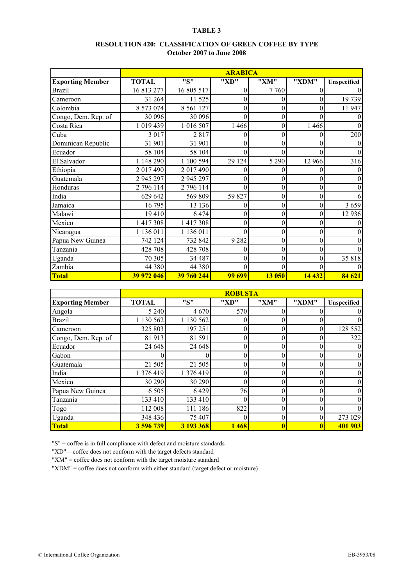#### **RESOLUTION 420: CLASSIFICATION OF GREEN COFFEE BY TYPE October 2007 to June 2008**

|                         | <b>ARABICA</b> |               |               |                  |                  |                  |  |  |  |  |
|-------------------------|----------------|---------------|---------------|------------------|------------------|------------------|--|--|--|--|
| <b>Exporting Member</b> | <b>TOTAL</b>   | "S"           | "XD"          | "XM"             | "XDM"            | Unspecified      |  |  |  |  |
| <b>Brazil</b>           | 16 813 277     | 16 805 517    | 0             | 7760             | $\theta$         | $\theta$         |  |  |  |  |
| Cameroon                | 31 264         | 11 525        | 0             | 0                | $\Omega$         | 19 739           |  |  |  |  |
| Colombia                | 8 573 074      | 8 5 6 1 1 2 7 | 0             | $\overline{0}$   | $\Omega$         | 11 947           |  |  |  |  |
| Congo, Dem. Rep. of     | 30 096         | 30 096        | 0             | 0                |                  | $\theta$         |  |  |  |  |
| Costa Rica              | 1019439        | 1 016 507     | 1 4 6 6       | 0                | 1 4 6 6          | $\Omega$         |  |  |  |  |
| Cuba                    | 3 0 1 7        | 2817          | 0             | $\boldsymbol{0}$ | $\boldsymbol{0}$ | 200              |  |  |  |  |
| Dominican Republic      | 31 901         | 31 901        | 0             | 0                | $\theta$         | $\mathbf{0}$     |  |  |  |  |
| Ecuador                 | 58 104         | 58 104        | 0             | $\theta$         | $\theta$         | $\mathbf{0}$     |  |  |  |  |
| El Salvador             | 1 148 290      | 1 100 594     | 29 124        | 5 2 9 0          | 12 966           | 316              |  |  |  |  |
| Ethiopia                | 2017490        | 2017490       | 0             | 0                | $\theta$         | $\theta$         |  |  |  |  |
| Guatemala               | 2 945 297      | 2 945 297     | 0             | $\theta$         | $\theta$         | $\boldsymbol{0}$ |  |  |  |  |
| Honduras                | 2 796 114      | 2 796 114     | $\theta$      | $\boldsymbol{0}$ | $\theta$         | $\boldsymbol{0}$ |  |  |  |  |
| India                   | 629 642        | 569 809       | 59 827        | 0                | $\theta$         | 6                |  |  |  |  |
| Jamaica                 | 16795          | 13 136        | 0             | 0                | $\theta$         | 3659             |  |  |  |  |
| Malawi                  | 19410          | 6 4 7 4       | 0             | $\overline{0}$   | $\theta$         | 12 9 36          |  |  |  |  |
| Mexico                  | 1417308        | 1417308       | 0             | $\overline{0}$   | $\Omega$         | $\boldsymbol{0}$ |  |  |  |  |
| Nicaragua               | 1 136 011      | 1 136 011     | 0             | 0                | $\theta$         | $\mathbf{0}$     |  |  |  |  |
| Papua New Guinea        | 742 124        | 732 842       | 9 2 8 2       | $\overline{0}$   | $\theta$         | $\mathbf{0}$     |  |  |  |  |
| Tanzania                | 428 708        | 428 708       | 0             | $\boldsymbol{0}$ | $\overline{0}$   | $\theta$         |  |  |  |  |
| Uganda                  | 70 30 5        | 34 487        | $\theta$      | 0                | $\theta$         | 35818            |  |  |  |  |
| Zambia                  | 44 380         | 44 380        | $\theta$      | $\theta$         | $\Omega$         | $\Omega$         |  |  |  |  |
| Total                   | 39 972 046     | 39 760 244    | <b>99 699</b> | 13 050           | 14 4 32          | 84 621           |  |  |  |  |

|                         | <b>ROBUSTA</b> |           |          |      |       |                 |  |  |  |  |
|-------------------------|----------------|-----------|----------|------|-------|-----------------|--|--|--|--|
| <b>Exporting Member</b> | <b>TOTAL</b>   | "S"       | "XD"     | "XM" | "XDM" | Unspecified     |  |  |  |  |
| Angola                  | 5 2 4 0        | 4670      | 570      |      |       | $\overline{0}$  |  |  |  |  |
| <b>Brazil</b>           | 1 130 562      | 1 130 562 | $\theta$ |      |       | $\theta$        |  |  |  |  |
| Cameroon                | 325 803        | 197 251   | $\theta$ | 0    |       | 128 552         |  |  |  |  |
| Congo, Dem. Rep. of     | 81 913         | 81 591    | 0        |      |       | 322             |  |  |  |  |
| Ecuador                 | 24 648         | 24 648    | 0        |      |       | $\overline{0}$  |  |  |  |  |
| Gabon                   |                |           | 0        | 0    |       | $\overline{0}$  |  |  |  |  |
| Guatemala               | 21 505         | 21 505    | 0        |      |       | $\overline{0}$  |  |  |  |  |
| India                   | 1 376 419      | 1 376 419 | 0        |      |       | $\overline{0}$  |  |  |  |  |
| Mexico                  | 30 290         | 30 290    | 0        | 0    |       | $\vert 0 \vert$ |  |  |  |  |
| Papua New Guinea        | 6 5 0 5        | 6429      | 76       |      |       | $\overline{0}$  |  |  |  |  |
| Tanzania                | 133 410        | 133 410   | $\theta$ | 0    |       | $\Omega$        |  |  |  |  |
| Togo                    | 112 008        | 111 186   | 822      | 0    |       | $\theta$        |  |  |  |  |
| Uganda                  | 348 436        | 75 407    | 0        | 0    |       | 273 029         |  |  |  |  |
| Total                   | 3 596 739      | 3 193 368 | 1468     |      |       | 401 903         |  |  |  |  |

"S" = coffee is in full compliance with defect and moisture standards

"XD" = coffee does not conform with the target defects standard

"XM" = coffee does not conform with the target moisture standard

"XDM" = coffee does not conform with either standard (target defect or moisture)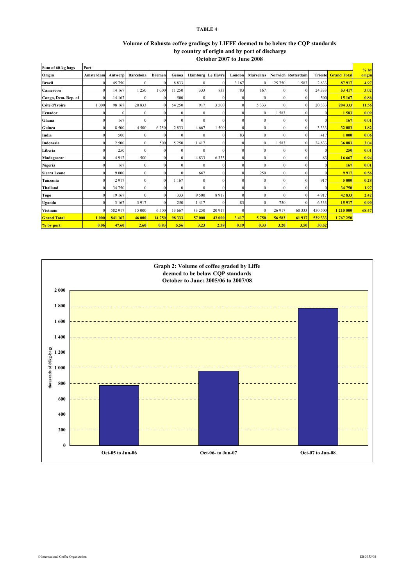| Volume of Robusta coffee gradings by LIFFE deemed to be below the COP standards |
|---------------------------------------------------------------------------------|
| by country of origin and by port of discharge                                   |
| October 2007 to June 2008                                                       |

| Sum of 60-kg bags   | Port      |              |              |               |          |              |                         |              |                   |          |                   |                |                    | $%$ by |
|---------------------|-----------|--------------|--------------|---------------|----------|--------------|-------------------------|--------------|-------------------|----------|-------------------|----------------|--------------------|--------|
| Origin              | Amsterdam | Antwerp      | Barcelona    | <b>Bremen</b> | Genoa    |              | <b>Hamburg</b> Le Havre | London       | <b>Marseilles</b> |          | Norwich Rotterdam | <b>Trieste</b> | <b>Grand Total</b> | origin |
| <b>Brazil</b>       | $\Omega$  | 45 750       | $\Omega$     | $\Omega$      | 8833     | $\Omega$     | $\Omega$                | 3 1 6 7      | $\Omega$          | 25 750   | 1583              | 2833           | 87917              | 4.97   |
| Cameroon            | $\Omega$  | 14 167       | 1 250        | 1 000         | 11 250   | 333          | 833                     | 83           | 167               | $\Omega$ | $\Omega$          | 24 3 3 3       | 53 417             | 3.02   |
| Congo, Dem. Rep. of | $\Omega$  | 14 167       | $\Omega$     |               | 500      | $\Omega$     | $\Omega$                | $\Omega$     | $\Omega$          | $\Omega$ | $\Omega$          | 500            | 15 167             | 0.86   |
| Côte d'Ivoire       | 1 000     | 98 167       | 20833        | $\Omega$      | 54 250   | 917          | 3 500                   | $\Omega$     | 5 3 3 3           | $\Omega$ | $\Omega$          | 20 333         | 204 333            | 11.56  |
| Ecuador             | $\Omega$  | $\mathbf{0}$ | $\Omega$     | $\Omega$      | $\Omega$ | $\mathbf{0}$ | $\Omega$                | $\mathbf{0}$ | $\Omega$          | 1583     | $\Omega$          | $\mathbf{0}$   | 1583               | 0.09   |
| Ghana               | $\Omega$  | 167          | $\Omega$     | $\Omega$      | $\Omega$ | $\Omega$     | $\Omega$                | $\Omega$     | $\mathbf{0}$      |          | $\Omega$          | $\mathbf{0}$   | 167                | 0.01   |
| Guinea              | $\Omega$  | 8 5 0 0      | 4 500        | 6 7 5 0       | 2833     | 4 6 6 7      | 1 500                   | $\mathbf{0}$ | $\mathbf{0}$      | $\theta$ | $\Omega$          | 3 3 3 3        | 32 083             | 1.82   |
| India               | $\Omega$  | 500          | $\Omega$     | $\Omega$      | $\Omega$ | $\Omega$     | $\Omega$                | 83           | $\mathbf{0}$      | $\Omega$ | $\Omega$          | 417            | 1 000              | 0.06   |
| Indonesia           | $\Omega$  | 2 500        | $\mathbf{0}$ | 500           | 5 2 5 0  | 1417         | $\Omega$                | $\mathbf{0}$ | $\mathbf{0}$      | 1583     | $\Omega$          | 24 8 33        | 36 083             | 2.04   |
| Liberia             | $\Omega$  | 250          | $\Omega$     | $\Omega$      | $\Omega$ | $\Omega$     | $\Omega$                | $\Omega$     | $\Omega$          | $\Omega$ | $\Omega$          | $\Omega$       | 250                | 0.01   |
| Madagascar          | $\Omega$  | 4917         | 500          | $\Omega$      | $\Omega$ | 4833         | 6333                    | $\Omega$     | $\mathbf{0}$      | $\Omega$ | $\Omega$          | 83             | 16 667             | 0.94   |
| Nigeria             | $\Omega$  | 167          | $\mathbf{0}$ | 0             | $\Omega$ | $\mathbf{0}$ | $\Omega$                | $\mathbf{0}$ | $\mathbf{0}$      | $\Omega$ | $\Omega$          | $\mathbf{0}$   | 167                | 0.01   |
| <b>Sierra Leone</b> | $\Omega$  | 9 0 0 0      | $\Omega$     | $\Omega$      | $\Omega$ | 667          | $\Omega$                | $\Omega$     | 250               | $\Omega$ | $\Omega$          | $\mathbf{0}$   | 9917               | 0.56   |
| Tanzania            | $\Omega$  | 2917         | $\Omega$     | $\Omega$      | 1 1 6 7  | $\mathbf{0}$ | $\Omega$                | $\Omega$     | $\mathbf{0}$      | $\Omega$ | $\Omega$          | 917            | 5 0 0 0            | 0.28   |
| <b>Thailand</b>     | $\Omega$  | 34 750       | $\Omega$     | $\Omega$      | $\Omega$ | $\Omega$     | $\Omega$                | $\Omega$     | $\Omega$          | $\Omega$ | $\Omega$          | $\Omega$       | 34 750             | 1.97   |
| Togo                | $\Omega$  | 19 167       | $\Omega$     | $\Omega$      | 333      | 9 500        | 8917                    | $\mathbf{0}$ | $\mathbf{0}$      | $\theta$ | $\Omega$          | 4917           | 42833              | 2.42   |
| Uganda              | $\Omega$  | 3 1 6 7      | 3917         |               | 250      | 1417         | $\Omega$                | 83           | $\Omega$          | 750      | $\Omega$          | 6333           | 15917              | 0.90   |
| Vietnam             | $\Omega$  | 582 917      | 15 000       | 6 500         | 13 667   | 33 250       | 20 917                  | $\mathbf{0}$ | $\Omega$          | 26 917   | 60 333            | 450 500        | 1 210 000          | 68.47  |
| <b>Grand Total</b>  | 1 000     | 841 167      | 46 000       | 14 750        | 98 333   | 57 000       | 42 000                  | 3 4 1 7      | 5 7 5 0           | 56 583   | 61 917            | 539 333        | 1767250            |        |
| % by port           | 0.06      | 47.60        | 2.60         | 0.83          | 5.56     | 3.23         | 2.38                    | 0.19         | 0.33              | 3.20     | 3.50              | 30.52          |                    |        |